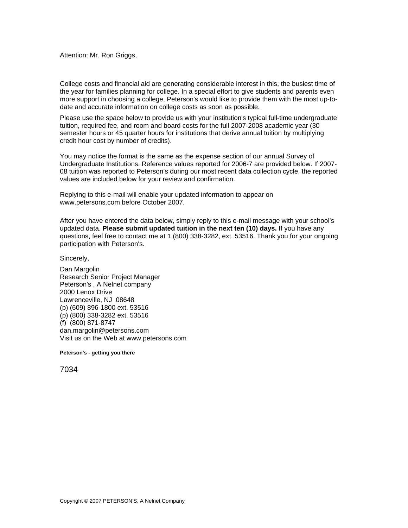Attention: Mr. Ron Griggs,

College costs and financial aid are generating considerable interest in this, the busiest time of the year for families planning for college. In a special effort to give students and parents even more support in choosing a college, Peterson's would like to provide them with the most up-todate and accurate information on college costs as soon as possible.

Please use the space below to provide us with your institution's typical full-time undergraduate tuition, required fee, and room and board costs for the full 2007-2008 academic year (30 semester hours or 45 quarter hours for institutions that derive annual tuition by multiplying credit hour cost by number of credits).

You may notice the format is the same as the expense section of our annual Survey of Undergraduate Institutions. Reference values reported for 2006-7 are provided below. If 2007- 08 tuition was reported to Peterson's during our most recent data collection cycle, the reported values are included below for your review and confirmation.

Replying to this e-mail will enable your updated information to appear on www.petersons.com before October 2007.

After you have entered the data below, simply reply to this e-mail message with your school's updated data. **Please submit updated tuition in the next ten (10) days.** If you have any questions, feel free to contact me at 1 (800) 338-3282, ext. 53516. Thank you for your ongoing participation with Peterson's.

Sincerely,

Dan Margolin Research Senior Project Manager Peterson's , A Nelnet company 2000 Lenox Drive Lawrenceville, NJ 08648 (p) (609) 896-1800 ext. 53516 (p) (800) 338-3282 ext. 53516 (f) (800) 871-8747 dan.margolin@petersons.com Visit us on the Web at www.petersons.com

**Peterson's - getting you there**

7034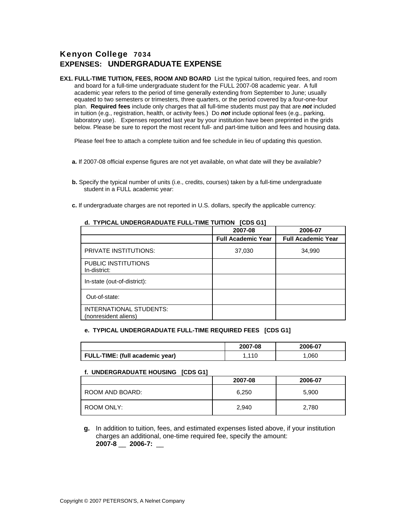# Kenyon College 7034 **EXPENSES: UNDERGRADUATE EXPENSE**

**EX1. FULL-TIME TUITION, FEES, ROOM AND BOARD** List the typical tuition, required fees, and room and board for a full-time undergraduate student for the FULL 2007-08 academic year. A full academic year refers to the period of time generally extending from September to June; usually equated to two semesters or trimesters, three quarters, or the period covered by a four-one-four plan. **Required fees** include only charges that all full-time students must pay that are *not* included in tuition (e.g., registration, health, or activity fees.) Do *not* include optional fees (e.g., parking, laboratory use). Expenses reported last year by your institution have been preprinted in the grids below. Please be sure to report the most recent full- and part-time tuition and fees and housing data.

Please feel free to attach a complete tuition and fee schedule in lieu of updating this question.

- **a.** If 2007-08 official expense figures are not yet available, on what date will they be available?
- **b.** Specify the typical number of units (i.e., credits, courses) taken by a full-time undergraduate student in a FULL academic year:
- **c.** If undergraduate charges are not reported in U.S. dollars, specify the applicable currency:

|                                                 | 2007-08                   | 2006-07                   |
|-------------------------------------------------|---------------------------|---------------------------|
|                                                 | <b>Full Academic Year</b> | <b>Full Academic Year</b> |
| PRIVATE INSTITUTIONS:                           | 37,030                    | 34,990                    |
| PUBLIC INSTITUTIONS<br>In-district:             |                           |                           |
| In-state (out-of-district):                     |                           |                           |
| Out-of-state:                                   |                           |                           |
| INTERNATIONAL STUDENTS:<br>(nonresident aliens) |                           |                           |

### **d. TYPICAL UNDERGRADUATE FULL-TIME TUITION [CDS G1]**

#### **e. TYPICAL UNDERGRADUATE FULL-TIME REQUIRED FEES [CDS G1]**

|                                        | 2007-08 | 2006-07 |
|----------------------------------------|---------|---------|
| <b>FULL-TIME:</b> (full academic year) | 11 O    | .060    |

#### **f. UNDERGRADUATE HOUSING [CDS G1]**

|                 | 2007-08 | 2006-07 |
|-----------------|---------|---------|
| ROOM AND BOARD: | 6,250   | 5,900   |
| ROOM ONLY:      | 2,940   | 2,780   |

**g.** In addition to tuition, fees, and estimated expenses listed above, if your institution charges an additional, one-time required fee, specify the amount: **2007-8** \_\_ **2006-7:** \_\_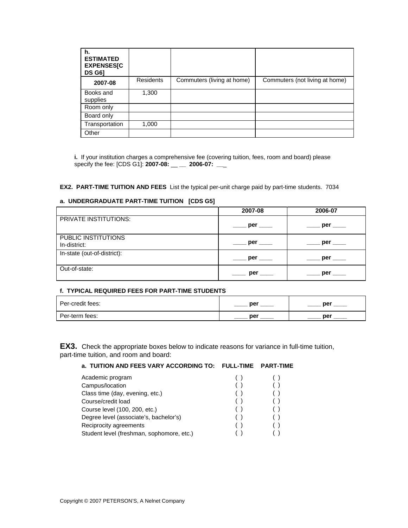| h.<br><b>ESTIMATED</b><br><b>EXPENSES[C</b><br><b>DS G61</b> |                  |                            |                                |
|--------------------------------------------------------------|------------------|----------------------------|--------------------------------|
| 2007-08                                                      | <b>Residents</b> | Commuters (living at home) | Commuters (not living at home) |
| Books and<br>supplies                                        | 1,300            |                            |                                |
| Room only                                                    |                  |                            |                                |
| Board only                                                   |                  |                            |                                |
| Transportation                                               | 1,000            |                            |                                |
| Other                                                        |                  |                            |                                |

**i.** If your institution charges a comprehensive fee (covering tuition, fees, room and board) please specify the fee: [CDS G1]: **2007-08: \_\_ \_\_ 2006-07: \_\_** 

**EX2. PART-TIME TUITION AND FEES** List the typical per-unit charge paid by part-time students. 7034

### **a. UNDERGRADUATE PART-TIME TUITION [CDS G5]**

|                                     | 2007-08                                                                                                         | 2006-07  |
|-------------------------------------|-----------------------------------------------------------------------------------------------------------------|----------|
| PRIVATE INSTITUTIONS:               | per the period of the set of the set of the set of the set of the set of the set of the set of the set of the s | per      |
| PUBLIC INSTITUTIONS<br>In-district: | $\rule{1em}{0.15mm}$ per $\rule{1.5mm}{0.15mm}$                                                                 | per ____ |
| In-state (out-of-district):         | per <u>the</u>                                                                                                  | per      |
| Out-of-state:                       | per                                                                                                             | per      |

## **f. TYPICAL REQUIRED FEES FOR PART-TIME STUDENTS**

| Per-credit fees: | ner | nar |
|------------------|-----|-----|
| Per-term fees:   | ner | ner |

**EX3.** Check the appropriate boxes below to indicate reasons for variance in full-time tuition, part-time tuition, and room and board:

## **a. TUITION AND FEES VARY ACCORDING TO: FULL-TIME PART-TIME**

| Academic program                          |   |  |
|-------------------------------------------|---|--|
| Campus/location                           |   |  |
| Class time (day, evening, etc.)           | ( |  |
| Course/credit load                        |   |  |
| Course level (100, 200, etc.)             | ( |  |
| Degree level (associate's, bachelor's)    |   |  |
| Reciprocity agreements                    |   |  |
| Student level (freshman, sophomore, etc.) |   |  |